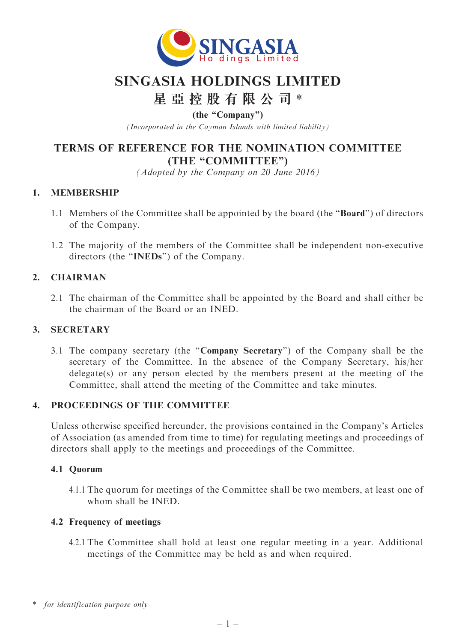

## SINGASIA HOLDINGS LIMITED

# 星 亞 控 股 有 限 公 司 \*

(the ''Company'')

(Incorporated in the Cayman Islands with limited liability)

## TERMS OF REFERENCE FOR THE NOMINATION COMMITTEE (THE "COMMITTEE")

(Adopted by the Company on 20 June 2016)

## 1. MEMBERSHIP

- 1.1 Members of the Committee shall be appointed by the board (the ''Board'') of directors of the Company.
- 1.2 The majority of the members of the Committee shall be independent non-executive directors (the "INEDs") of the Company.

## 2. CHAIRMAN

2.1 The chairman of the Committee shall be appointed by the Board and shall either be the chairman of the Board or an INED.

#### 3. SECRETARY

3.1 The company secretary (the ''Company Secretary'') of the Company shall be the secretary of the Committee. In the absence of the Company Secretary, his/her delegate(s) or any person elected by the members present at the meeting of the Committee, shall attend the meeting of the Committee and take minutes.

## 4. PROCEEDINGS OF THE COMMITTEE

Unless otherwise specified hereunder, the provisions contained in the Company's Articles of Association (as amended from time to time) for regulating meetings and proceedings of directors shall apply to the meetings and proceedings of the Committee.

#### 4.1 Quorum

4.1.1 The quorum for meetings of the Committee shall be two members, at least one of whom shall be INED.

#### 4.2 Frequency of meetings

4.2.1 The Committee shall hold at least one regular meeting in a year. Additional meetings of the Committee may be held as and when required.

<sup>\*</sup> for identification purpose only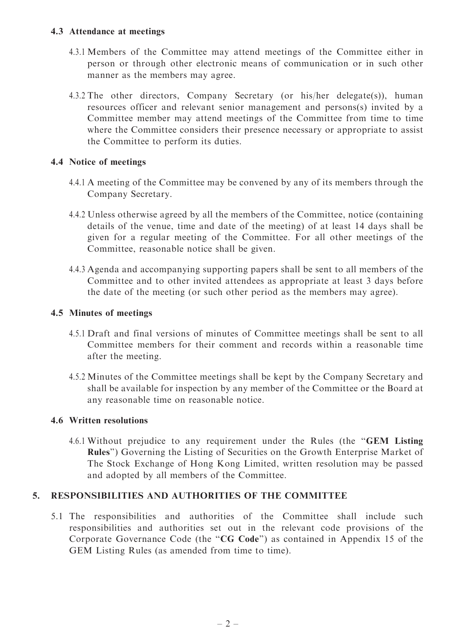#### 4.3 Attendance at meetings

- 4.3.1 Members of the Committee may attend meetings of the Committee either in person or through other electronic means of communication or in such other manner as the members may agree.
- 4.3.2 The other directors, Company Secretary (or his/her delegate(s)), human resources officer and relevant senior management and persons(s) invited by a Committee member may attend meetings of the Committee from time to time where the Committee considers their presence necessary or appropriate to assist the Committee to perform its duties.

## 4.4 Notice of meetings

- 4.4.1 A meeting of the Committee may be convened by any of its members through the Company Secretary.
- 4.4.2 Unless otherwise agreed by all the members of the Committee, notice (containing details of the venue, time and date of the meeting) of at least 14 days shall be given for a regular meeting of the Committee. For all other meetings of the Committee, reasonable notice shall be given.
- 4.4.3 Agenda and accompanying supporting papers shall be sent to all members of the Committee and to other invited attendees as appropriate at least 3 days before the date of the meeting (or such other period as the members may agree).

## 4.5 Minutes of meetings

- 4.5.1 Draft and final versions of minutes of Committee meetings shall be sent to all Committee members for their comment and records within a reasonable time after the meeting.
- 4.5.2 Minutes of the Committee meetings shall be kept by the Company Secretary and shall be available for inspection by any member of the Committee or the Board at any reasonable time on reasonable notice.

#### 4.6 Written resolutions

4.6.1 Without prejudice to any requirement under the Rules (the ''GEM Listing Rules'') Governing the Listing of Securities on the Growth Enterprise Market of The Stock Exchange of Hong Kong Limited, written resolution may be passed and adopted by all members of the Committee.

#### 5. RESPONSIBILITIES AND AUTHORITIES OF THE COMMITTEE

5.1 The responsibilities and authorities of the Committee shall include such responsibilities and authorities set out in the relevant code provisions of the Corporate Governance Code (the "CG Code") as contained in Appendix 15 of the GEM Listing Rules (as amended from time to time).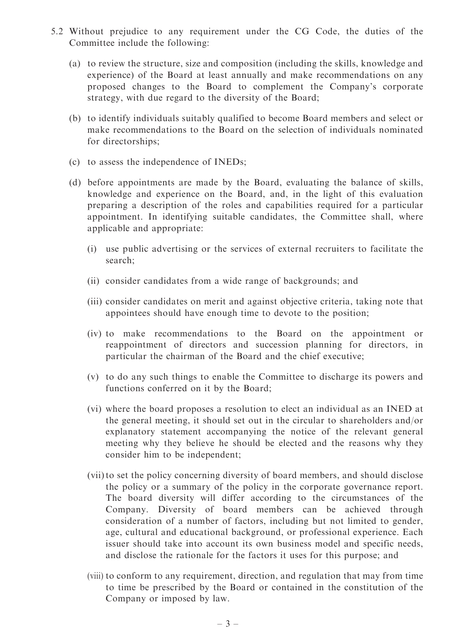- 5.2 Without prejudice to any requirement under the CG Code, the duties of the Committee include the following:
	- (a) to review the structure, size and composition (including the skills, knowledge and experience) of the Board at least annually and make recommendations on any proposed changes to the Board to complement the Company's corporate strategy, with due regard to the diversity of the Board;
	- (b) to identify individuals suitably qualified to become Board members and select or make recommendations to the Board on the selection of individuals nominated for directorships;
	- (c) to assess the independence of INEDs;
	- (d) before appointments are made by the Board, evaluating the balance of skills, knowledge and experience on the Board, and, in the light of this evaluation preparing a description of the roles and capabilities required for a particular appointment. In identifying suitable candidates, the Committee shall, where applicable and appropriate:
		- (i) use public advertising or the services of external recruiters to facilitate the search;
		- (ii) consider candidates from a wide range of backgrounds; and
		- (iii) consider candidates on merit and against objective criteria, taking note that appointees should have enough time to devote to the position;
		- (iv) to make recommendations to the Board on the appointment or reappointment of directors and succession planning for directors, in particular the chairman of the Board and the chief executive;
		- (v) to do any such things to enable the Committee to discharge its powers and functions conferred on it by the Board;
		- (vi) where the board proposes a resolution to elect an individual as an INED at the general meeting, it should set out in the circular to shareholders and/or explanatory statement accompanying the notice of the relevant general meeting why they believe he should be elected and the reasons why they consider him to be independent;
		- (vii) to set the policy concerning diversity of board members, and should disclose the policy or a summary of the policy in the corporate governance report. The board diversity will differ according to the circumstances of the Company. Diversity of board members can be achieved through consideration of a number of factors, including but not limited to gender, age, cultural and educational background, or professional experience. Each issuer should take into account its own business model and specific needs, and disclose the rationale for the factors it uses for this purpose; and
		- (viii) to conform to any requirement, direction, and regulation that may from time to time be prescribed by the Board or contained in the constitution of the Company or imposed by law.